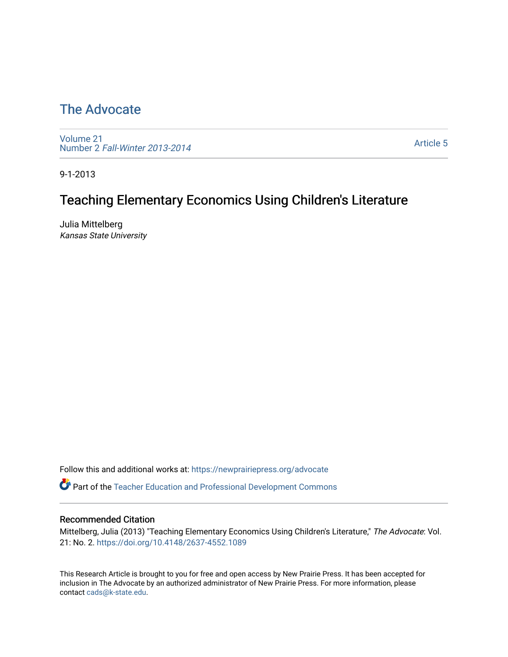# [The Advocate](https://newprairiepress.org/advocate)

[Volume 21](https://newprairiepress.org/advocate/vol21) Number 2 [Fall-Winter 2013-2014](https://newprairiepress.org/advocate/vol21/iss2) 

[Article 5](https://newprairiepress.org/advocate/vol21/iss2/5) 

9-1-2013

# Teaching Elementary Economics Using Children's Literature

Julia Mittelberg Kansas State University

Follow this and additional works at: [https://newprairiepress.org/advocate](https://newprairiepress.org/advocate?utm_source=newprairiepress.org%2Fadvocate%2Fvol21%2Fiss2%2F5&utm_medium=PDF&utm_campaign=PDFCoverPages) 

Part of the [Teacher Education and Professional Development Commons](http://network.bepress.com/hgg/discipline/803?utm_source=newprairiepress.org%2Fadvocate%2Fvol21%2Fiss2%2F5&utm_medium=PDF&utm_campaign=PDFCoverPages) 

#### Recommended Citation

Mittelberg, Julia (2013) "Teaching Elementary Economics Using Children's Literature," The Advocate: Vol. 21: No. 2. <https://doi.org/10.4148/2637-4552.1089>

This Research Article is brought to you for free and open access by New Prairie Press. It has been accepted for inclusion in The Advocate by an authorized administrator of New Prairie Press. For more information, please contact [cads@k-state.edu](mailto:cads@k-state.edu).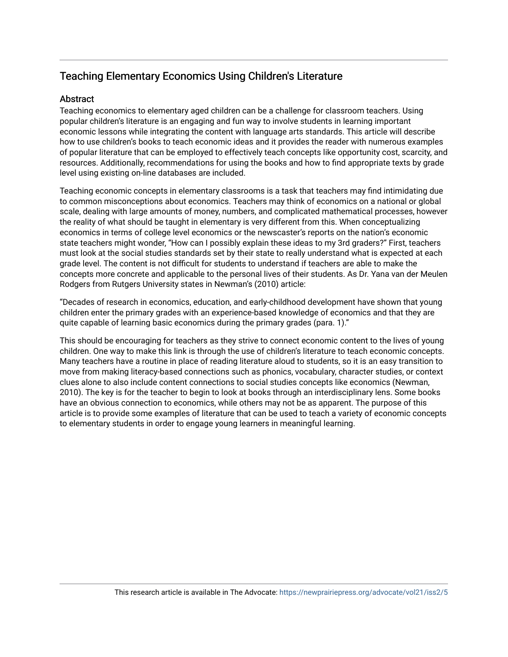# Teaching Elementary Economics Using Children's Literature

## **Abstract**

Teaching economics to elementary aged children can be a challenge for classroom teachers. Using popular children's literature is an engaging and fun way to involve students in learning important economic lessons while integrating the content with language arts standards. This article will describe how to use children's books to teach economic ideas and it provides the reader with numerous examples of popular literature that can be employed to effectively teach concepts like opportunity cost, scarcity, and resources. Additionally, recommendations for using the books and how to find appropriate texts by grade level using existing on-line databases are included.

Teaching economic concepts in elementary classrooms is a task that teachers may find intimidating due to common misconceptions about economics. Teachers may think of economics on a national or global scale, dealing with large amounts of money, numbers, and complicated mathematical processes, however the reality of what should be taught in elementary is very different from this. When conceptualizing economics in terms of college level economics or the newscaster's reports on the nation's economic state teachers might wonder, "How can I possibly explain these ideas to my 3rd graders?" First, teachers must look at the social studies standards set by their state to really understand what is expected at each grade level. The content is not difficult for students to understand if teachers are able to make the concepts more concrete and applicable to the personal lives of their students. As Dr. Yana van der Meulen Rodgers from Rutgers University states in Newman's (2010) article:

"Decades of research in economics, education, and early-childhood development have shown that young children enter the primary grades with an experience-based knowledge of economics and that they are quite capable of learning basic economics during the primary grades (para. 1)."

This should be encouraging for teachers as they strive to connect economic content to the lives of young children. One way to make this link is through the use of children's literature to teach economic concepts. Many teachers have a routine in place of reading literature aloud to students, so it is an easy transition to move from making literacy-based connections such as phonics, vocabulary, character studies, or context clues alone to also include content connections to social studies concepts like economics (Newman, 2010). The key is for the teacher to begin to look at books through an interdisciplinary lens. Some books have an obvious connection to economics, while others may not be as apparent. The purpose of this article is to provide some examples of literature that can be used to teach a variety of economic concepts to elementary students in order to engage young learners in meaningful learning.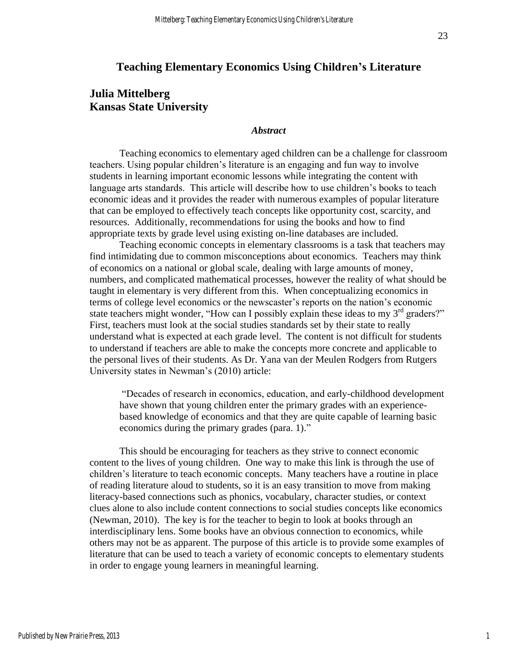### **Teaching Elementary Economics Using Children's Literature**

## **Julia Mittelberg Kansas State University**

#### *Abstract*

Teaching economics to elementary aged children can be a challenge for classroom teachers. Using popular children's literature is an engaging and fun way to involve students in learning important economic lessons while integrating the content with language arts standards. This article will describe how to use children's books to teach economic ideas and it provides the reader with numerous examples of popular literature that can be employed to effectively teach concepts like opportunity cost, scarcity, and resources. Additionally, recommendations for using the books and how to find appropriate texts by grade level using existing on-line databases are included.

Teaching economic concepts in elementary classrooms is a task that teachers may find intimidating due to common misconceptions about economics. Teachers may think of economics on a national or global scale, dealing with large amounts of money, numbers, and complicated mathematical processes, however the reality of what should be taught in elementary is very different from this. When conceptualizing economics in terms of college level economics or the newscaster's reports on the nation's economic state teachers might wonder, "How can I possibly explain these ideas to my  $3<sup>rd</sup>$  graders?" First, teachers must look at the social studies standards set by their state to really understand what is expected at each grade level. The content is not difficult for students to understand if teachers are able to make the concepts more concrete and applicable to the personal lives of their students. As Dr. Yana van der Meulen Rodgers from Rutgers University states in Newman's (2010) article:

"Decades of research in economics, education, and early-childhood development have shown that young children enter the primary grades with an experiencebased knowledge of economics and that they are quite capable of learning basic economics during the primary grades (para. 1)."

This should be encouraging for teachers as they strive to connect economic content to the lives of young children. One way to make this link is through the use of children's literature to teach economic concepts. Many teachers have a routine in place of reading literature aloud to students, so it is an easy transition to move from making literacy-based connections such as phonics, vocabulary, character studies, or context clues alone to also include content connections to social studies concepts like economics (Newman, 2010). The key is for the teacher to begin to look at books through an interdisciplinary lens. Some books have an obvious connection to economics, while others may not be as apparent. The purpose of this article is to provide some examples of literature that can be used to teach a variety of economic concepts to elementary students in order to engage young learners in meaningful learning.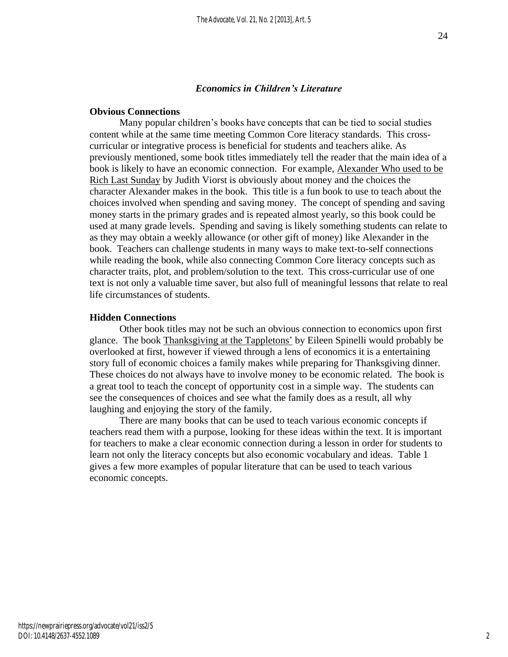#### *Economics in Children's Literature*

#### **Obvious Connections**

Many popular children's books have concepts that can be tied to social studies content while at the same time meeting Common Core literacy standards. This crosscurricular or integrative process is beneficial for students and teachers alike. As previously mentioned, some book titles immediately tell the reader that the main idea of a book is likely to have an economic connection. For example, Alexander Who used to be Rich Last Sunday by Judith Viorst is obviously about money and the choices the character Alexander makes in the book. This title is a fun book to use to teach about the choices involved when spending and saving money. The concept of spending and saving money starts in the primary grades and is repeated almost yearly, so this book could be used at many grade levels. Spending and saving is likely something students can relate to as they may obtain a weekly allowance (or other gift of money) like Alexander in the book. Teachers can challenge students in many ways to make text-to-self connections while reading the book, while also connecting Common Core literacy concepts such as character traits, plot, and problem/solution to the text. This cross-curricular use of one text is not only a valuable time saver, but also full of meaningful lessons that relate to real life circumstances of students.

#### **Hidden Connections**

Other book titles may not be such an obvious connection to economics upon first glance. The book Thanksgiving at the Tappletons' by Eileen Spinelli would probably be overlooked at first, however if viewed through a lens of economics it is a entertaining story full of economic choices a family makes while preparing for Thanksgiving dinner. These choices do not always have to involve money to be economic related. The book is a great tool to teach the concept of opportunity cost in a simple way. The students can see the consequences of choices and see what the family does as a result, all why laughing and enjoying the story of the family.

There are many books that can be used to teach various economic concepts if teachers read them with a purpose, looking for these ideas within the text. It is important for teachers to make a clear economic connection during a lesson in order for students to learn not only the literacy concepts but also economic vocabulary and ideas. Table 1 gives a few more examples of popular literature that can be used to teach various economic concepts.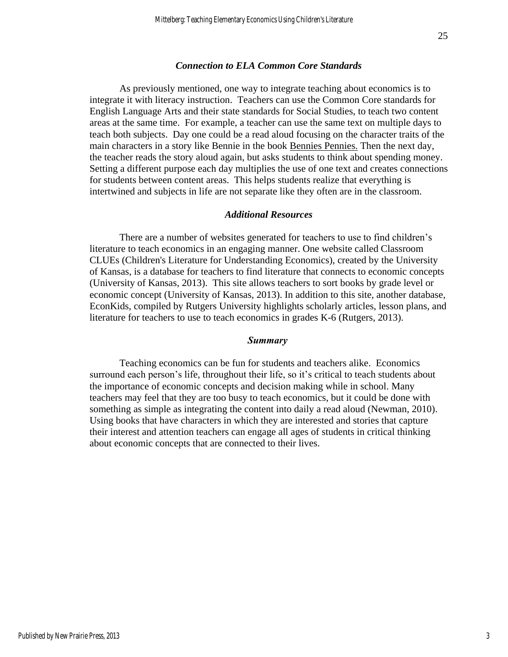#### *Connection to ELA Common Core Standards*

As previously mentioned, one way to integrate teaching about economics is to integrate it with literacy instruction. Teachers can use the Common Core standards for English Language Arts and their state standards for Social Studies, to teach two content areas at the same time. For example, a teacher can use the same text on multiple days to teach both subjects. Day one could be a read aloud focusing on the character traits of the main characters in a story like Bennie in the book Bennies Pennies. Then the next day, the teacher reads the story aloud again, but asks students to think about spending money. Setting a different purpose each day multiplies the use of one text and creates connections for students between content areas. This helps students realize that everything is intertwined and subjects in life are not separate like they often are in the classroom.

#### *Additional Resources*

There are a number of websites generated for teachers to use to find children's literature to teach economics in an engaging manner. One website called Classroom CLUEs (Children's Literature for Understanding Economics), created by the University of Kansas, is a database for teachers to find literature that connects to economic concepts (University of Kansas, 2013). This site allows teachers to sort books by grade level or economic concept (University of Kansas, 2013). In addition to this site, another database, EconKids, compiled by Rutgers University highlights scholarly articles, lesson plans, and literature for teachers to use to teach economics in grades K-6 (Rutgers, 2013).

#### *Summary*

Teaching economics can be fun for students and teachers alike. Economics surround each person's life, throughout their life, so it's critical to teach students about the importance of economic concepts and decision making while in school. Many teachers may feel that they are too busy to teach economics, but it could be done with something as simple as integrating the content into daily a read aloud (Newman, 2010). Using books that have characters in which they are interested and stories that capture their interest and attention teachers can engage all ages of students in critical thinking about economic concepts that are connected to their lives.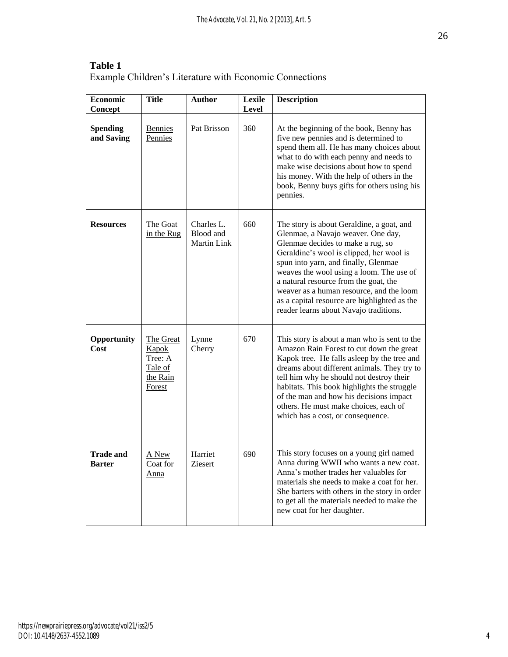| <b>Economic</b><br>Concept        | <b>Title</b>                                                   | <b>Author</b>                          | Lexile<br><b>Level</b> | <b>Description</b>                                                                                                                                                                                                                                                                                                                                                                                                                  |
|-----------------------------------|----------------------------------------------------------------|----------------------------------------|------------------------|-------------------------------------------------------------------------------------------------------------------------------------------------------------------------------------------------------------------------------------------------------------------------------------------------------------------------------------------------------------------------------------------------------------------------------------|
| <b>Spending</b><br>and Saving     | <b>Bennies</b><br>Pennies                                      | Pat Brisson                            | 360                    | At the beginning of the book, Benny has<br>five new pennies and is determined to<br>spend them all. He has many choices about<br>what to do with each penny and needs to<br>make wise decisions about how to spend<br>his money. With the help of others in the<br>book, Benny buys gifts for others using his<br>pennies.                                                                                                          |
| <b>Resources</b>                  | The Goat<br>in the Rug                                         | Charles L.<br>Blood and<br>Martin Link | 660                    | The story is about Geraldine, a goat, and<br>Glenmae, a Navajo weaver. One day,<br>Glenmae decides to make a rug, so<br>Geraldine's wool is clipped, her wool is<br>spun into yarn, and finally, Glenmae<br>weaves the wool using a loom. The use of<br>a natural resource from the goat, the<br>weaver as a human resource, and the loom<br>as a capital resource are highlighted as the<br>reader learns about Navajo traditions. |
| Opportunity<br>Cost               | The Great<br>Kapok<br>Tree: A<br>Tale of<br>the Rain<br>Forest | Lynne<br>Cherry                        | 670                    | This story is about a man who is sent to the<br>Amazon Rain Forest to cut down the great<br>Kapok tree. He falls asleep by the tree and<br>dreams about different animals. They try to<br>tell him why he should not destroy their<br>habitats. This book highlights the struggle<br>of the man and how his decisions impact<br>others. He must make choices, each of<br>which has a cost, or consequence.                          |
| <b>Trade and</b><br><b>Barter</b> | A New<br>Coat for<br><u>Anna</u>                               | Harriet<br>Ziesert                     | 690                    | This story focuses on a young girl named<br>Anna during WWII who wants a new coat.<br>Anna's mother trades her valuables for<br>materials she needs to make a coat for her.<br>She barters with others in the story in order<br>to get all the materials needed to make the<br>new coat for her daughter.                                                                                                                           |

**Table 1**  Example Children's Literature with Economic Connections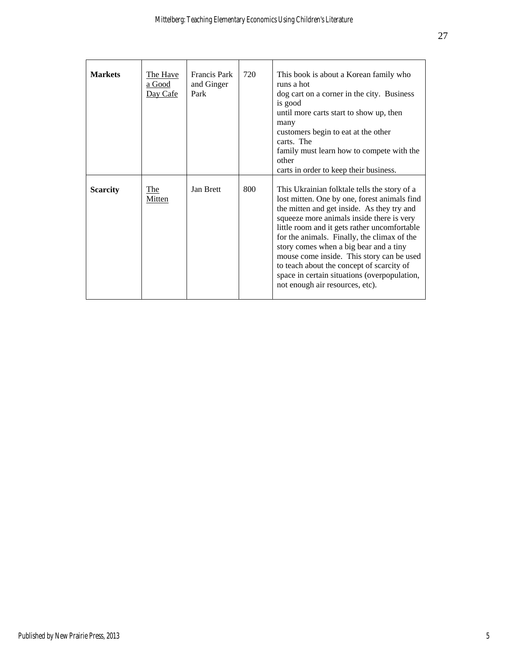| <b>Markets</b>  | The Have<br>a Good<br>Day Cafe | Francis Park<br>and Ginger<br>Park | 720 | This book is about a Korean family who<br>runs a hot<br>dog cart on a corner in the city. Business<br>is good<br>until more carts start to show up, then<br>many<br>customers begin to eat at the other<br>carts. The<br>family must learn how to compete with the<br>other<br>carts in order to keep their business.                                                                                                                                                                                         |
|-----------------|--------------------------------|------------------------------------|-----|---------------------------------------------------------------------------------------------------------------------------------------------------------------------------------------------------------------------------------------------------------------------------------------------------------------------------------------------------------------------------------------------------------------------------------------------------------------------------------------------------------------|
| <b>Scarcity</b> | <b>The</b><br><b>Mitten</b>    | Jan Brett                          | 800 | This Ukrainian folktale tells the story of a<br>lost mitten. One by one, forest animals find<br>the mitten and get inside. As they try and<br>squeeze more animals inside there is very<br>little room and it gets rather uncomfortable<br>for the animals. Finally, the climax of the<br>story comes when a big bear and a tiny<br>mouse come inside. This story can be used<br>to teach about the concept of scarcity of<br>space in certain situations (overpopulation,<br>not enough air resources, etc). |